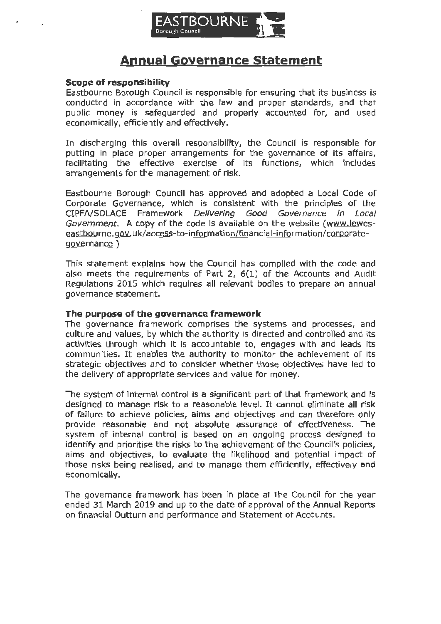

# **Annual Governance Statement**

#### **Scope of responsibility**

Eastbourne Borough Council is responsible for ensuring that its business is conducted in accordance with the law and proper standards, and that public money is safeguarded and properly accounted for, and used economically, efficiently and effectively.

In discharging this overall responsibility, the Council is responsible for putting in place proper arrangements for the governance of its affairs, facilitating the effective exercise of its functions, which includes arrangements for the management of risk.

Eastbourne Borough Council has approved and adopted a Local Code of Corporate Governance, which is consistent with the principles of the CIPFA/SOLACE Framework Delivering Good Governance in Local Government. A copy of the code is available on the website (<www.lewes>[eastbourne.gov](https://eastbourne.gov).uk/access-to-i nformation/fina ncia I-information/ corporategovernance )

This statement explains how the Council has complied with the code and also meets the requirements of Part 2, 6(1) of the Accounts and Audit Regulations 2015 which requires all relevant bodies to prepare an annual governance statement.

#### **The purpose of the governance framework**

The governance framework comprises the systems and processes, and culture and values, by which the authority is directed and controlled and its activities through which it is accountable to, engages with and leads its communities. It enables the authority to monitor the achievement of its strategic objectives and to consider whether those objectives have led to the delivery of appropriate services and value for money.

The system of internal control is a significant part of that framework and is designed to manage risk to a reasonable level. It cannot eliminate all risk of failure to achieve policies, aims and objectives and can therefore only provide reasonable and not absolute assurance of effectiveness. The system of internal control is based on an ongoing process designed to identify and prioritise the risks to the achievement of the Council's policies, aims and objectives, to evaluate the likelihood and potential impact of those risks being realised, and to manage them efficiently, effectively and economically.

The governance framework has been in place at the Council for the year ended 31 March 2019 and up to the date of approval of the Annual Reports on financial Outturn and performance and Statement of Accounts.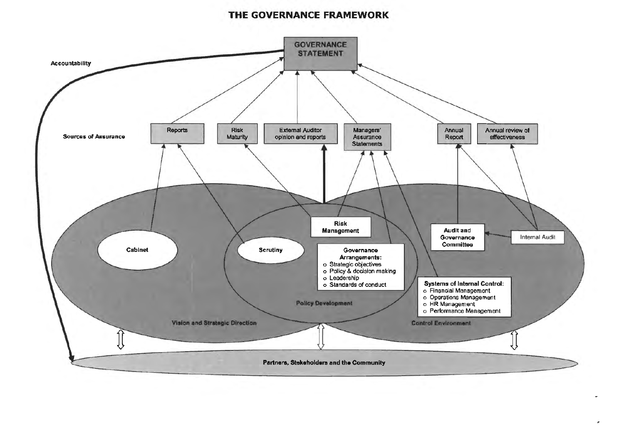# THE GOVERNANCE FRAMEWORK

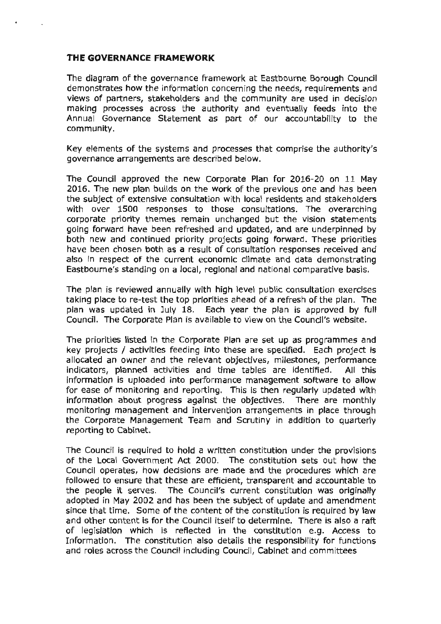#### **THE GOVERNANCE FRAMEWORK**

The diagram of the governance framework at Eastbourne Borough Council demonstrates how the information concerning the needs, requirements and views of partners, stakeholders and the community are used in decision making processes across the authority and eventually feeds into the Annual Governance Statement as part of our accountability to the community.

Key elements of the systems and processes that comprise the authority's governance arrangements are described below.

The Council approved the new Corporate Plan for 2016-20 on 11 May 2016. The new plan builds on the work of the previous one and has been the subject of extensive consultation with local residents and stakeholders with over 1500 responses to those consultations. The overarching corporate priority themes remain unchanged but the vision statements going forward have been refreshed and updated, and are underpinned by both new and continued priority projects going forward. These priorities have been chosen both as a result of consultation responses received and also in respect of the current economic climate and data demonstrating Eastbourne's standing on a local, regional and national comparative basis.

The plan is reviewed annually with high level public consultation exercises taking place to re-test the top priorities ahead of a refresh of the plan. The plan was updated in July 18. Each year the plan is approved by full Council. The Corporate Plan is available to view on the Council's website.

The priorities listed in the Corporate Plan are set up as programmes and key projects / activities feeding into these are specified. Each project is allocated an owner and the relevant objectives, milestones, performance indicators, planned activities and time tables are identified. All this information is uploaded into performance management software to allow for ease of monitoring and reporting. This is then regularly updated with information about progress against the objectives. There are monthly monitoring management and intervention arrangements in place through the Corporate Management Team and Scrutiny in addition to quarterly reporting to Cabinet.

The Council is required to hold a written constitution under the provisions of the Local Government Act 2000. The constitution sets out how the Council operates, how decisions are made and the procedures which are followed to ensure that these are efficient, transparent and accountable to the people it serves. The Council's current constitution was originally adopted in May 2002 and has been the subject of update and amendment since that time. Some of the content of the constitution is required by law and other content is for the Council itself to determine. There is also a raft of legislation which is reflected in the constitution e.g. Access to Information. The constitution also details the responsibility for functions and roles across the Council including Council, Cabinet and committees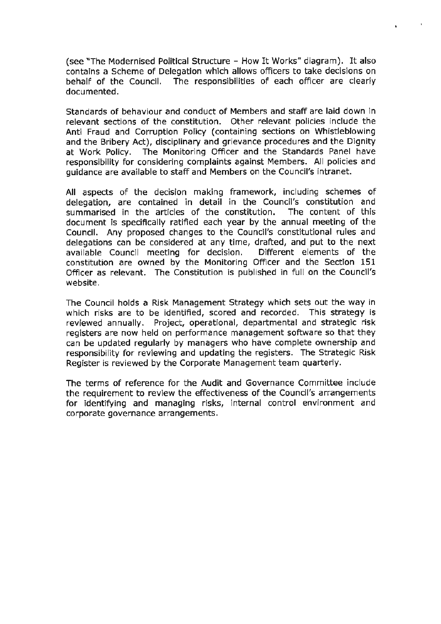(see "The Modernised Political Structure - How It Works" diagram). It also contains a Scheme of Delegation which allows officers to take decisions on behalf of the Council. The responsibilities of each officer are clearly documented.

 $\sim 10$ 

Standards of behaviour and conduct of Members and staff are laid down in relevant sections of the constitution. Other relevant policies include the Anti Fraud and Corruption Policy (containing sections on Whistleblowing and the Bribery Act), disciplinary and grievance procedures and the Dignity at Work Policy. The Monitoring Officer and the Standards Panel have responsibility for considering complaints against Members. All policies and guidance are available to staff and Members on the Council's intranet.

All aspects of the decision making framework, including schemes of delegation, are contained in detail in the Council's constitution and summarised in the articles of the constitution. The content of this document is specifically ratified each year by the annual meeting of the Council. Any proposed changes to the Council's constitutional rules and delegations can be considered at any time, drafted, and put to the next available Council meeting for decision. Different elements of the constitution are owned by the Monitoring Officer and the Section 151 Officer as relevant. The Constitution is published in full on the Council's website.

The Council holds a Risk Management Strategy which sets out the way in which risks are to be identified, scored and recorded. This strategy is reviewed annually. Project, operational, departmental and strategic risk registers are now held on performance management software so that they can be updated regularly by managers who have complete ownership and responsibility for reviewing and updating the registers. The Strategic Risk Register is reviewed by the Corporate Management team quarterly.

The terms of reference for the Audit and Governance Committee include the requirement to review the effectiveness of the Council's arrangements for identifying and managing risks, internal control environment and corporate governance arrangements.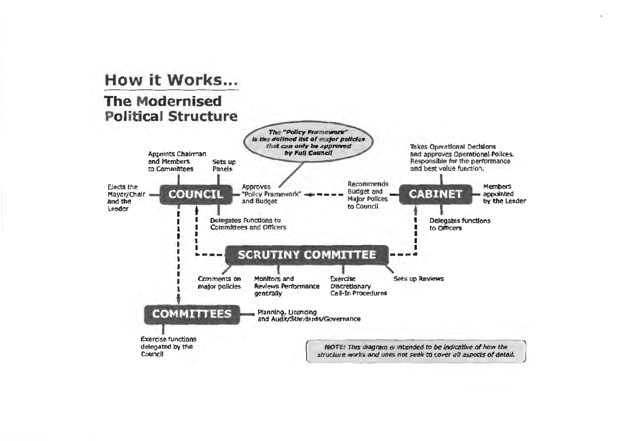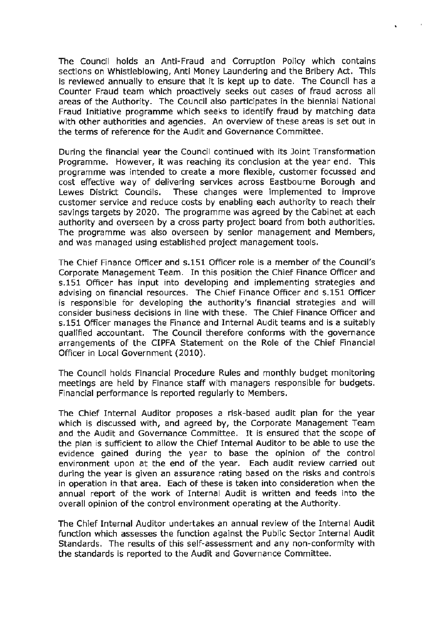The Council holds an Anti-Fraud and Corruption Policy which contains sections on Whistleblowing, Anti Money Laundering and the Bribery Act. This is reviewed annually to ensure that it is kept up to date. The Council has a Counter Fraud team which proactively seeks out cases of fraud across all areas of the Authority. The Council also participates in the biennial National Fraud Initiative programme which seeks to identify fraud by matching data with other authorities and agencies. An overview of these areas is set out in the terms of reference for the Audit and Governance Committee.

 $\sim$  10

During the financial year the Council continued with its Joint Transformation Programme. However, it was reaching its conclusion at the year end. This programme was intended to create a more flexible, customer focussed and cost effective way of delivering services across Eastbourne Borough and Lewes District Councils. These changes were implemented to improve customer service and reduce costs by enabling each authority to reach their savings targets by 2020. The programme was agreed by the Cabinet at each authority and overseen by a cross party project board from both authorities. The programme was also overseen by senior management and Members, and was managed using established project management tools.

The Chief Finance Officer and s.151 Officer role is a member of the Council's Corporate Management Team. In this position the Chief Finance Officer and s.151 Officer has input into developing and implementing strategies and advising on financial resources. The Chief Finance Officer and s.151 Officer is responsible for developing the authority's financial strategies and will consider business decisions in line with these. The Chief Finance Officer and s.151 Officer manages the Finance and Internal Audit teams and is a suitably qualified accountant. The Council therefore conforms with the governance arrangements of the CIPFA Statement on the Role of the Chief Financial Officer in Local Government (2010).

The Council holds Financial Procedure Rules and monthly budget monitoring meetings are held by Finance staff with managers responsible for budgets. Financial performance is reported regularly to Members.

The Chief Internal Auditor proposes a risk-based audit plan for the year which is discussed with, and agreed by, the Corporate Management Team and the Audit and Governance Committee. It is ensured that the scope of the plan is sufficient to allow the Chief Internal Auditor to be able to use the evidence gained during the year to base the opinion of the control environment upon at the end of the year. Each audit review carried out during the year is given an assurance rating based on the risks and controls in operation in that area. Each of these is taken into consideration when the annual report of the work of Internal Audit is written and feeds into the overall opinion of the control environment operating at the Authority.

The Chief Internal Auditor undertakes an annual review of the Internal Audit function which assesses the function against the Public Sector Internal Audit Standards. The results of this self-assessment and any non-conformity with the standards is reported to the Audit and Governance Committee.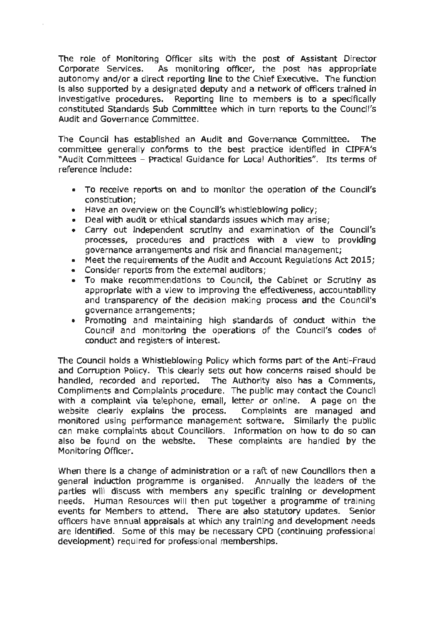The role of Monitoring Officer sits with the post of Assistant Director Corporate Services. As monitoring officer, the post has appropriate autonomy and/or a direct reporting line to the Chief Executive. The function is also supported by a designated deputy and a network of officers trained in investigative procedures. Reporting line to members is to a specifically constituted Standards Sub Committee which in turn reports to the Council's Audit and Governance Committee.

The Council has established an Audit and Governance Committee. The committee generally conforms to the best practice identified in CIPFA's "Audit Committees - Practical Guidance for Local Authorities". Its terms of reference include:

- To receive reports on and to monitor the operation of the Council's constitution;
- Have an overview on the Council's whistleblowing policy;
- Deal with audit or ethical standards issues which may arise;
- Carry out independent scrutiny and examination of the Council's processes, procedures and practices with a view to providing governance arrangements and risk and financial management;
- Meet the requirements of the Audit and Account Regulations Act 2015;
- Consider reports from the external auditors;
- To make recommendations to Council, the Cabinet or Scrutiny as appropriate with a view to improving the effectiveness, accountability and transparency of the decision making process and the Council's governance arrangements;
- Promoting and maintaining high standards of conduct within the Council and monitoring the operations of the Council's codes of conduct and registers of interest.

The Council holds a Whistleblowing Policy which forms part of the Anti-Fraud and Corruption Policy. This clearly sets out how concerns raised should be handled, recorded and reported. The Authority also has a Comments, Compliments and Complaints procedure. The public may contact the Councll with a complaint via telephone, email, letter or online. A page on the website clearly explains the process. Complaints are managed and monitored using performance management software. Similarly the public can make complaints about Councillors. Information on how to do so can also be found on the website. These complaints are handled by the Monitoring Officer.

When there is a change of administration or a raft of new Councillors then a general induction programme is organised. Annually the leaders of the parties will discuss with members any specific training or development needs. Human Resources will then put together a programme of training events for Members to attend. There are also statutory updates. Senior officers have annual appraisals at which any training and development needs are identified. Some of this may be necessary CPD ( continuing professional development) required for professional memberships.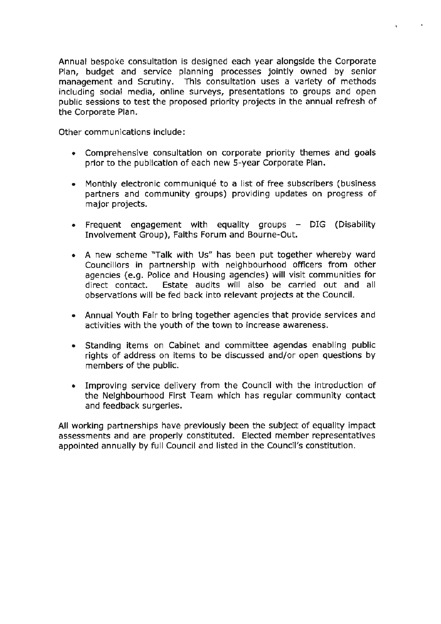Annual bespoke consultation is designed each year alongside the Corporate Plan, budget and service planning processes jointly owned by senior management and Scrutiny. This consultation uses a variety of methods including social media, online surveys, presentations to groups and open public sessions to test the proposed priority projects in the annual refresh of the Corporate Plan.

 $\mathbf{r}$ 

 $\sim$ 

Other communications include:

- Comprehensive consultation on corporate priority themes and goals prior to the publication of each new 5-year Corporate Plan.
- Monthly electronic communiqué to a list of free subscribers (business partners and community groups) providing updates on progress of major projects.
- Frequent engagement with equality groups DIG (Disability Involvement Group), Faiths Forum and Bourne-Out.
- A new scheme "Talk with Us" has been put together whereby ward Councillors in partnership with neighbourhood officers from other agencies (e.g. Police and Housing agencies) will visit communities for direct contact. Estate audits will also be carried out and all observations will be fed back into relevant projects at the Council.
- Annual Youth Fair to bring together agencies that provide services and activities with the youth of the town to increase awareness.
- Standing items on Cabinet and committee agendas enabling public rights of address on items to be discussed and/or open questions by members of the public.
- Improving service delivery from the Council with the introduction of the Neighbourhood First Team which has regular community contact and feedback surgeries.

All working partnerships have previously been the subject of equality impact assessments and are properly constituted. Elected member representatives appointed annually by full Council and listed in the Council's constitution.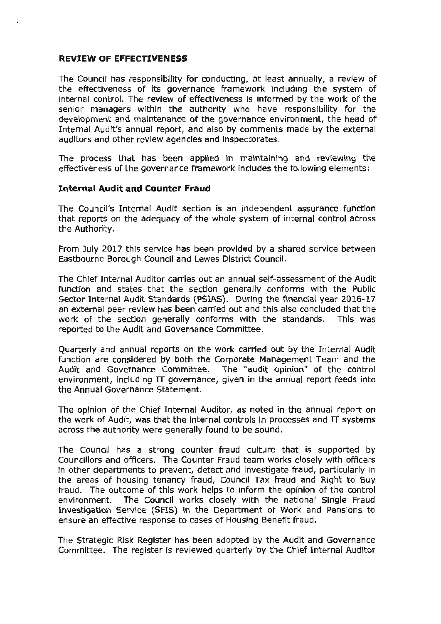### **REVIEW OF EFFECTIVENESS**

The Council has responsibility for conducting, at least annually, a review of the effectiveness of its governance framework including the system of internal control. The review of effectiveness is informed by the work of the senior managers within the authority who have responsibility for the development and maintenance of the governance environment, the head of Internal Audit's annual report, and also by comments made by the external auditors and other review agencies and inspectorates.

The process that has been applied in maintaining and reviewing the effectiveness of the governance framework includes the following elements:

## **Internal Audit and Counter Fraud**

The Council's Internal Audit section is an independent assurance function that reports on the adequacy of the whole system of internal control across the Authority.

From July 2017 this service has been provided by a shared service between Eastbourne Borough Council and Lewes District Council.

The Chief Internal Auditor carries out an annual self-assessment of the Audit function and states that the section generally conforms with the Public Sector Internal Audit Standards (PSIAS). During the financial year 2016-17 an external peer review has been carried out and this also concluded that the work of the section generally conforms with the standards. This was reported to the Audit and Governance Committee.

Quarterly and annual reports on the work carried out by the Internal Audit function are considered by both the Corporate Management Team and the Audit and Governance Committee. The "audit opinion" of the control environment, including IT governance, given in the annual report feeds into the Annual Governance Statement.

The opinion of the Chief Internal Auditor, as noted in the annual report on the work of Audit, was that the internal controls in processes and IT systems across the authority were generally found to be sound.

The Council has a strong counter fraud culture that is supported by Councillors and officers. The Counter Fraud team works closely with officers in other departments to prevent, detect and investigate fraud, particularly in the areas of housing tenancy fraud, Council Tax fraud and Right to Buy fraud. The outcome of this work helps to inform the opinion of the control environment. The Council works closely with the national Single Fraud Investigation Service (SFIS) in the Department of Work and Pensions to ensure an effective response to cases of Housing Benefit fraud.

The Strategic Risk Register has been adopted by the Audit and Governance Committee. The register is reviewed quarterly by the Chief Internal Auditor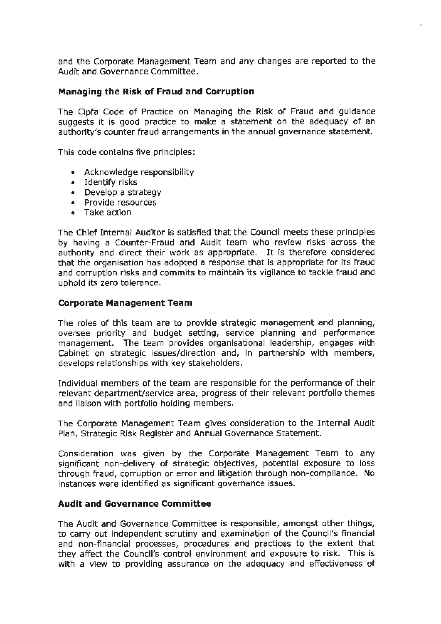and the Corporate Management Team and any changes are reported to the Audit and Governance Committee.

## **Managing the Risk of Fraud and Corruption**

The Cipfa Code of Practice on Managing the **Risk** of Fraud and guidance suggests it is good practice to make a statement on the adequacy of an authority's counter fraud arrangements in the annual governance statement.

This code contains five principles:

- Acknowledge responsibility
- Identify risks
- Develop a strategy
- Provide resources
- Take action

The Chief Internal Auditor is satisfied that the Council meets these principles by having a Counter-Fraud and Audit team who review risks across the authority and direct their work as appropriate. It is therefore considered that the organisation has adopted a response that is appropriate for its fraud and corruption risks and commits to maintain its vigilance to tackle fraud and uphold its zero tolerance.

#### **Corporate Management Team**

The roles of this team are to provide strategic management and planning, oversee priority and budget setting, service planning and performance management. The team provides organisational leadership, engages with Cabinet on strategic issues/direction and, in partnership with members, develops relationships with key stakeholders.

Individual members of the team are responsible for the performance of their relevant department/service area, progress of their relevant portfolio themes and liaison with portfolio holding members.

The Corporate Management Team gives consideration to the Internal Audit Plan, Strategic Risk Register and Annual Governance Statement.

Consideration was given by the Corporate Management Team to any significant non-delivery of strategic objectives, potential exposure to loss through fraud, corruption or error and litigation through non-compliance. No instances were identified as significant governance issues.

#### **Audit and Governance Committee**

The Audit and Governance Committee is responsible, amongst other things, to carry out independent scrutiny and examination of the Council's financial and non-financial processes, procedures and practices to the extent that they affect the Council's control environment and exposure to risk. This is with a view to providing assurance on the adequacy and effectiveness of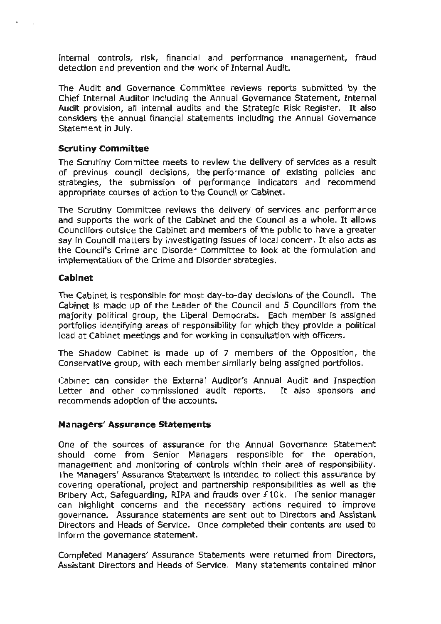internal controls, risk, financial and performance management, fraud detection and prevention and the work of Internal Audit.

The Audit and Governance Committee reviews reports submitted by the Chief Internal Auditor including the Annual Governance Statement, Internal Audit provision, all internal audits and the Strategic Risk Register. It also considers the annual financial statements including the Annual Governance Statement in July.

## **Scrutiny Committee**

The Scrutiny Committee meets to review the delivery of services as a result of previous council decisions, the performance of existing policies and strategies, the submission of performance indicators and recommend appropriate courses of action to the Council or Cabinet.

The Scrutiny Committee reviews the delivery of services and performance and supports the work of the Cabinet and the Council as a whole. It allows Councillors outside the Cabinet and members of the public to have a greater say in Council matters by investigating issues of local concern. It also acts as the Council's Crime and Disorder Committee to look at the formulation and implementation of the Crime and Disorder strategies.

#### **Cabinet**

 $\mathbf{t}$ 

The Cabinet is responsible for most day-to-day decisions of the Council. The Cabinet is made up of the Leader of the Council and 5 Councillors from the majority political group, the Liberal Democrats. Each member is assigned portfolios identifying areas of responsibility for which they provide a political lead at Cabinet meetings and for working in consultation with officers.

The Shadow Cabinet is made up of 7 members of the Opposition, the Conservative group, with each member similarly being assigned portfolios.

Cabinet can consider the External Auditor's Annual Audit and Inspection Letter and other commissioned audit reports. It also sponsors and recommends adoption of the accounts.

#### **Managers' Assurance Statements**

One of the sources of assurance for the Annual Governance Statement should come from Senior Managers responsible for the operation, management and monitoring of controls within their area of responsibility. The Managers' Assurance Statement is intended to collect this assurance by covering operational, project and partnership responsibilities as well as the Bribery Act, Safeguarding, RIPA and frauds over £10k. The senior manager can highlight concerns and the necessary actions required to improve governance. Assurance statements are sent out to Directors and Assistant Directors and Heads of Service. Once completed their contents are used to inform the governance statement.

Completed Managers' Assurance Statements were returned from Directors, Assistant Directors and Heads of Service. Many statements contained minor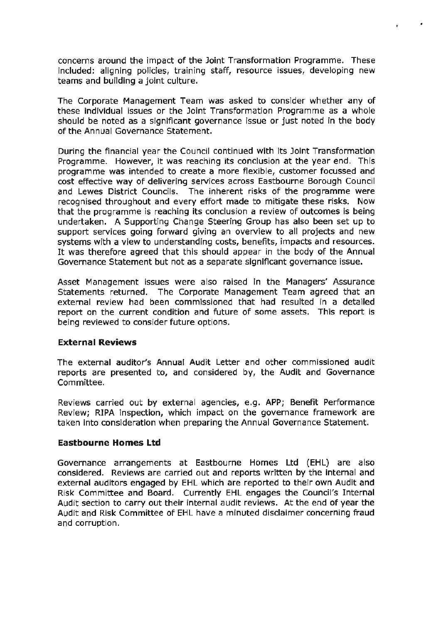concerns around the impact of the Joint Transformation Programme. These included: aligning policies, training staff, resource issues, developing new teams and building a joint culture.

The Corporate Management Team was asked to consider whether any of these individual issues or the Joint Transformation Programme as a whole should be noted as a significant governance issue or just noted in the body of the Annual Governance Statement.

During the financial year the Council continued with its Joint Transformation Programme. However, it was reaching its conclusion at the year end. This programme was intended to create a more flexible, customer focussed and cost effective way of delivering services across Eastbourne Borough Council and Lewes District Councils. The inherent risks of the programme were recognised throughout and every effort made to mitigate these risks. Now that the programme is reaching its conclusion a review of outcomes is being undertaken. A Supporting Change Steering Group has also been set up to support services going forward giving an overview to all projects and new systems with a view to understanding costs, benefits, impacts and resources. It was therefore agreed that this should appear in the body of the Annual Governance Statement but not as a separate significant governance issue.

Asset Management issues were also raised in the Managers' Assurance Statements returned. The Corporate Management Team agreed that an external review had been commissioned that had resulted in a detailed report on the current condition and future of some assets. This report is being reviewed to consider future options.

#### **External Reviews**

The external auditor's Annual Audit Letter and other commissioned audit reports are presented to, and considered by, the Audit and Governance Committee.

Reviews carried out by external agencies, e.g. APP; Benefit Performance Review; RIPA inspection, which impact on the governance framework are taken into consideration when preparing the Annual Governance Statement.

## **Eastbourne Homes Ltd**

Governance arrangements at Eastbourne Homes Ltd (EHL) are also considered. Reviews are carried out and reports written by the internal and external auditors engaged by EHL which are reported to their own Audit and Risk Committee and Board. Currently EHL engages the Council's Internal Audit section to carry out their internal audit reviews. At the end of year the Audit and Risk Committee of EHL have a minuted disclaimer concerning fraud and corruption.